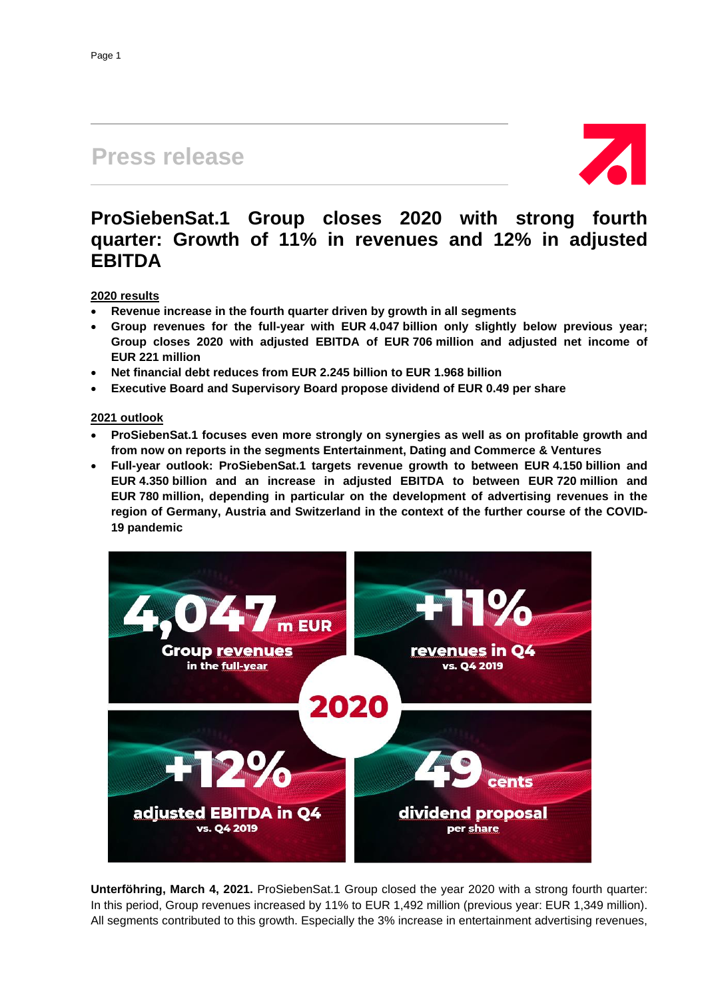# **Press release**



## **ProSiebenSat.1 Group closes 2020 with strong fourth quarter: Growth of 11% in revenues and 12% in adjusted EBITDA**

#### **2020 results**

- **Revenue increase in the fourth quarter driven by growth in all segments**
- **Group revenues for the full-year with EUR 4.047 billion only slightly below previous year; Group closes 2020 with adjusted EBITDA of EUR 706 million and adjusted net income of EUR 221 million**
- **Net financial debt reduces from EUR 2.245 billion to EUR 1.968 billion**
- **Executive Board and Supervisory Board propose dividend of EUR 0.49 per share**

#### **2021 outlook**

- **ProSiebenSat.1 focuses even more strongly on synergies as well as on profitable growth and from now on reports in the segments Entertainment, Dating and Commerce & Ventures**
- **Full-year outlook: ProSiebenSat.1 targets revenue growth to between EUR 4.150 billion and EUR 4.350 billion and an increase in adjusted EBITDA to between EUR 720 million and EUR 780 million, depending in particular on the development of advertising revenues in the region of Germany, Austria and Switzerland in the context of the further course of the COVID-19 pandemic**



**Unterföhring, March 4, 2021.** ProSiebenSat.1 Group closed the year 2020 with a strong fourth quarter: In this period, Group revenues increased by 11% to EUR 1,492 million (previous year: EUR 1,349 million). All segments contributed to this growth. Especially the 3% increase in entertainment advertising revenues,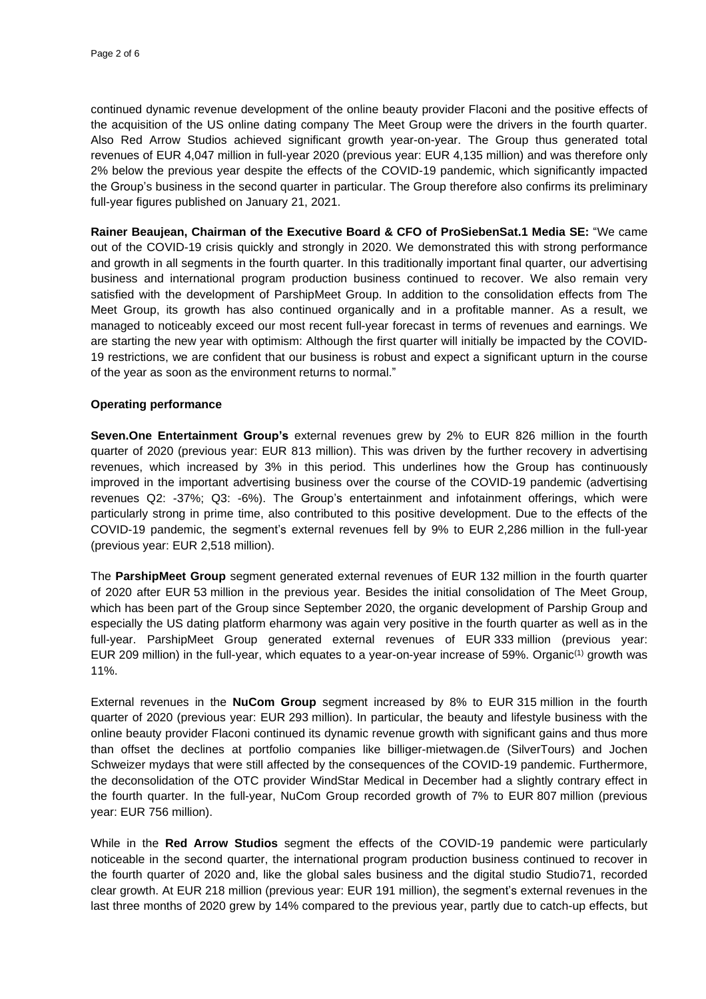continued dynamic revenue development of the online beauty provider Flaconi and the positive effects of the acquisition of the US online dating company The Meet Group were the drivers in the fourth quarter. Also Red Arrow Studios achieved significant growth year-on-year. The Group thus generated total revenues of EUR 4,047 million in full-year 2020 (previous year: EUR 4,135 million) and was therefore only 2% below the previous year despite the effects of the COVID-19 pandemic, which significantly impacted the Group's business in the second quarter in particular. The Group therefore also confirms its preliminary full-year figures published on January 21, 2021.

**Rainer Beaujean, Chairman of the Executive Board & CFO of ProSiebenSat.1 Media SE:** "We came out of the COVID-19 crisis quickly and strongly in 2020. We demonstrated this with strong performance and growth in all segments in the fourth quarter. In this traditionally important final quarter, our advertising business and international program production business continued to recover. We also remain very satisfied with the development of ParshipMeet Group. In addition to the consolidation effects from The Meet Group, its growth has also continued organically and in a profitable manner. As a result, we managed to noticeably exceed our most recent full-year forecast in terms of revenues and earnings. We are starting the new year with optimism: Although the first quarter will initially be impacted by the COVID-19 restrictions, we are confident that our business is robust and expect a significant upturn in the course of the year as soon as the environment returns to normal."

#### **Operating performance**

**Seven.One Entertainment Group's** external revenues grew by 2% to EUR 826 million in the fourth quarter of 2020 (previous year: EUR 813 million). This was driven by the further recovery in advertising revenues, which increased by 3% in this period. This underlines how the Group has continuously improved in the important advertising business over the course of the COVID-19 pandemic (advertising revenues Q2: -37%; Q3: -6%). The Group's entertainment and infotainment offerings, which were particularly strong in prime time, also contributed to this positive development. Due to the effects of the COVID-19 pandemic, the segment's external revenues fell by 9% to EUR 2,286 million in the full-year (previous year: EUR 2,518 million).

The **ParshipMeet Group** segment generated external revenues of EUR 132 million in the fourth quarter of 2020 after EUR 53 million in the previous year. Besides the initial consolidation of The Meet Group, which has been part of the Group since September 2020, the organic development of Parship Group and especially the US dating platform eharmony was again very positive in the fourth quarter as well as in the full-year. ParshipMeet Group generated external revenues of EUR 333 million (previous year: EUR 209 million) in the full-year, which equates to a year-on-year increase of 59%. Organic<sup>(1)</sup> growth was 11%.

External revenues in the **NuCom Group** segment increased by 8% to EUR 315 million in the fourth quarter of 2020 (previous year: EUR 293 million). In particular, the beauty and lifestyle business with the online beauty provider Flaconi continued its dynamic revenue growth with significant gains and thus more than offset the declines at portfolio companies like billiger-mietwagen.de (SilverTours) and Jochen Schweizer mydays that were still affected by the consequences of the COVID-19 pandemic. Furthermore, the deconsolidation of the OTC provider WindStar Medical in December had a slightly contrary effect in the fourth quarter. In the full-year, NuCom Group recorded growth of 7% to EUR 807 million (previous year: EUR 756 million).

While in the **Red Arrow Studios** segment the effects of the COVID-19 pandemic were particularly noticeable in the second quarter, the international program production business continued to recover in the fourth quarter of 2020 and, like the global sales business and the digital studio Studio71, recorded clear growth. At EUR 218 million (previous year: EUR 191 million), the segment's external revenues in the last three months of 2020 grew by 14% compared to the previous year, partly due to catch-up effects, but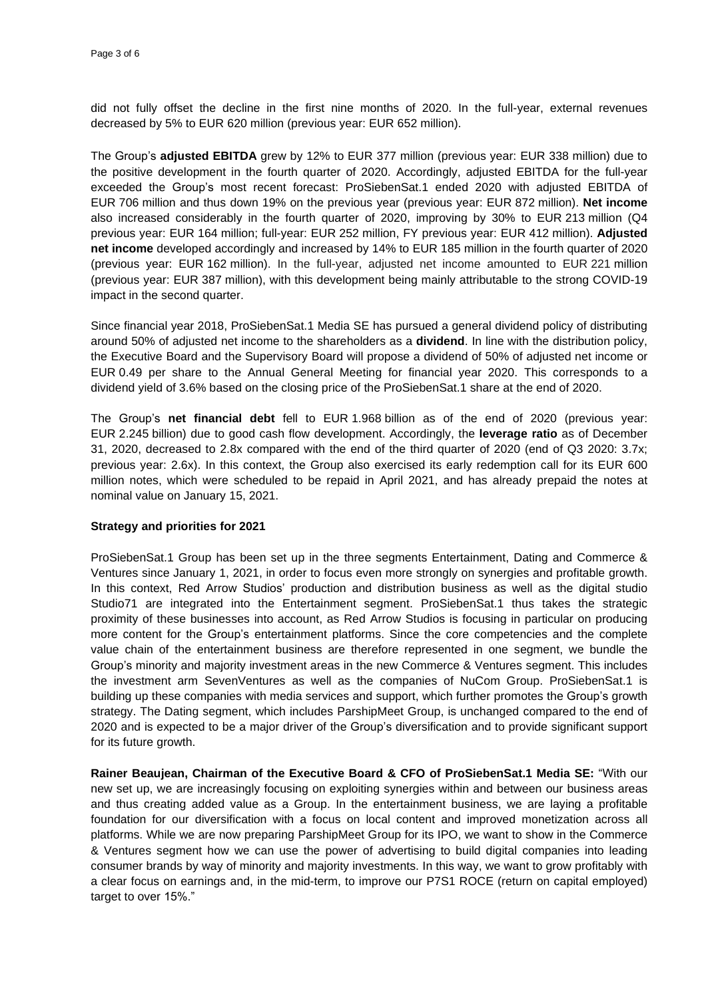did not fully offset the decline in the first nine months of 2020. In the full-year, external revenues decreased by 5% to EUR 620 million (previous year: EUR 652 million).

The Group's **adjusted EBITDA** grew by 12% to EUR 377 million (previous year: EUR 338 million) due to the positive development in the fourth quarter of 2020. Accordingly, adjusted EBITDA for the full-year exceeded the Group's most recent forecast: ProSiebenSat.1 ended 2020 with adjusted EBITDA of EUR 706 million and thus down 19% on the previous year (previous year: EUR 872 million). **Net income** also increased considerably in the fourth quarter of 2020, improving by 30% to EUR 213 million (Q4 previous year: EUR 164 million; full-year: EUR 252 million, FY previous year: EUR 412 million). **Adjusted net income** developed accordingly and increased by 14% to EUR 185 million in the fourth quarter of 2020 (previous year: EUR 162 million). In the full-year, adjusted net income amounted to EUR 221 million (previous year: EUR 387 million), with this development being mainly attributable to the strong COVID-19 impact in the second quarter.

Since financial year 2018, ProSiebenSat.1 Media SE has pursued a general dividend policy of distributing around 50% of adjusted net income to the shareholders as a **dividend**. In line with the distribution policy, the Executive Board and the Supervisory Board will propose a dividend of 50% of adjusted net income or EUR 0.49 per share to the Annual General Meeting for financial year 2020. This corresponds to a dividend yield of 3.6% based on the closing price of the ProSiebenSat.1 share at the end of 2020.

The Group's **net financial debt** fell to EUR 1.968 billion as of the end of 2020 (previous year: EUR 2.245 billion) due to good cash flow development. Accordingly, the **leverage ratio** as of December 31, 2020, decreased to 2.8x compared with the end of the third quarter of 2020 (end of Q3 2020: 3.7x; previous year: 2.6x). In this context, the Group also exercised its early redemption call for its EUR 600 million notes, which were scheduled to be repaid in April 2021, and has already prepaid the notes at nominal value on January 15, 2021.

#### **Strategy and priorities for 2021**

ProSiebenSat.1 Group has been set up in the three segments Entertainment, Dating and Commerce & Ventures since January 1, 2021, in order to focus even more strongly on synergies and profitable growth. In this context, Red Arrow Studios' production and distribution business as well as the digital studio Studio71 are integrated into the Entertainment segment. ProSiebenSat.1 thus takes the strategic proximity of these businesses into account, as Red Arrow Studios is focusing in particular on producing more content for the Group's entertainment platforms. Since the core competencies and the complete value chain of the entertainment business are therefore represented in one segment, we bundle the Group's minority and majority investment areas in the new Commerce & Ventures segment. This includes the investment arm SevenVentures as well as the companies of NuCom Group. ProSiebenSat.1 is building up these companies with media services and support, which further promotes the Group's growth strategy. The Dating segment, which includes ParshipMeet Group, is unchanged compared to the end of 2020 and is expected to be a major driver of the Group's diversification and to provide significant support for its future growth.

**Rainer Beaujean, Chairman of the Executive Board & CFO of ProSiebenSat.1 Media SE:** "With our new set up, we are increasingly focusing on exploiting synergies within and between our business areas and thus creating added value as a Group. In the entertainment business, we are laying a profitable foundation for our diversification with a focus on local content and improved monetization across all platforms. While we are now preparing ParshipMeet Group for its IPO, we want to show in the Commerce & Ventures segment how we can use the power of advertising to build digital companies into leading consumer brands by way of minority and majority investments. In this way, we want to grow profitably with a clear focus on earnings and, in the mid-term, to improve our P7S1 ROCE (return on capital employed) target to over 15%."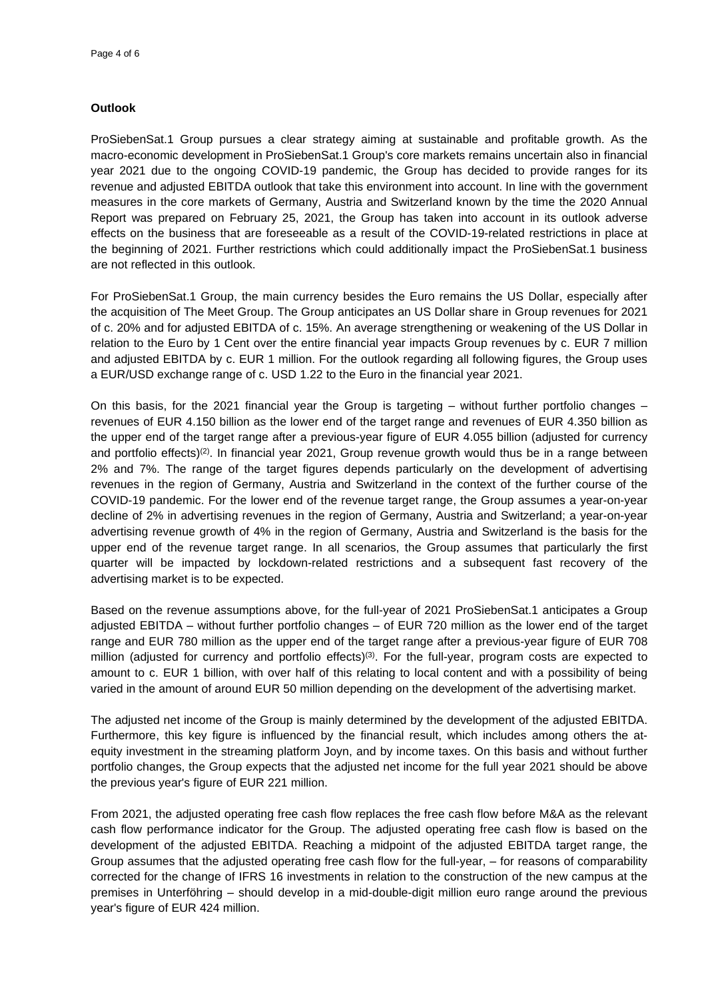### **Outlook**

ProSiebenSat.1 Group pursues a clear strategy aiming at sustainable and profitable growth. As the macro-economic development in ProSiebenSat.1 Group's core markets remains uncertain also in financial year 2021 due to the ongoing COVID-19 pandemic, the Group has decided to provide ranges for its revenue and adjusted EBITDA outlook that take this environment into account. In line with the government measures in the core markets of Germany, Austria and Switzerland known by the time the 2020 Annual Report was prepared on February 25, 2021, the Group has taken into account in its outlook adverse effects on the business that are foreseeable as a result of the COVID-19-related restrictions in place at the beginning of 2021. Further restrictions which could additionally impact the ProSiebenSat.1 business are not reflected in this outlook.

For ProSiebenSat.1 Group, the main currency besides the Euro remains the US Dollar, especially after the acquisition of The Meet Group. The Group anticipates an US Dollar share in Group revenues for 2021 of c. 20% and for adjusted EBITDA of c. 15%. An average strengthening or weakening of the US Dollar in relation to the Euro by 1 Cent over the entire financial year impacts Group revenues by c. EUR 7 million and adjusted EBITDA by c. EUR 1 million. For the outlook regarding all following figures, the Group uses a EUR/USD exchange range of c. USD 1.22 to the Euro in the financial year 2021.

On this basis, for the 2021 financial year the Group is targeting – without further portfolio changes – revenues of EUR 4.150 billion as the lower end of the target range and revenues of EUR 4.350 billion as the upper end of the target range after a previous-year figure of EUR 4.055 billion (adjusted for currency and portfolio effects)<sup>(2)</sup>. In financial year 2021, Group revenue growth would thus be in a range between 2% and 7%. The range of the target figures depends particularly on the development of advertising revenues in the region of Germany, Austria and Switzerland in the context of the further course of the COVID-19 pandemic. For the lower end of the revenue target range, the Group assumes a year-on-year decline of 2% in advertising revenues in the region of Germany, Austria and Switzerland; a year-on-year advertising revenue growth of 4% in the region of Germany, Austria and Switzerland is the basis for the upper end of the revenue target range. In all scenarios, the Group assumes that particularly the first quarter will be impacted by lockdown-related restrictions and a subsequent fast recovery of the advertising market is to be expected.

Based on the revenue assumptions above, for the full-year of 2021 ProSiebenSat.1 anticipates a Group adjusted EBITDA – without further portfolio changes – of EUR 720 million as the lower end of the target range and EUR 780 million as the upper end of the target range after a previous-year figure of EUR 708 million (adjusted for currency and portfolio effects)<sup>(3)</sup>. For the full-year, program costs are expected to amount to c. EUR 1 billion, with over half of this relating to local content and with a possibility of being varied in the amount of around EUR 50 million depending on the development of the advertising market.

The adjusted net income of the Group is mainly determined by the development of the adjusted EBITDA. Furthermore, this key figure is influenced by the financial result, which includes among others the atequity investment in the streaming platform Joyn, and by income taxes. On this basis and without further portfolio changes, the Group expects that the adjusted net income for the full year 2021 should be above the previous year's figure of EUR 221 million.

From 2021, the adjusted operating free cash flow replaces the free cash flow before M&A as the relevant cash flow performance indicator for the Group. The adjusted operating free cash flow is based on the development of the adjusted EBITDA. Reaching a midpoint of the adjusted EBITDA target range, the Group assumes that the adjusted operating free cash flow for the full-year, – for reasons of comparability corrected for the change of IFRS 16 investments in relation to the construction of the new campus at the premises in Unterföhring – should develop in a mid-double-digit million euro range around the previous year's figure of EUR 424 million.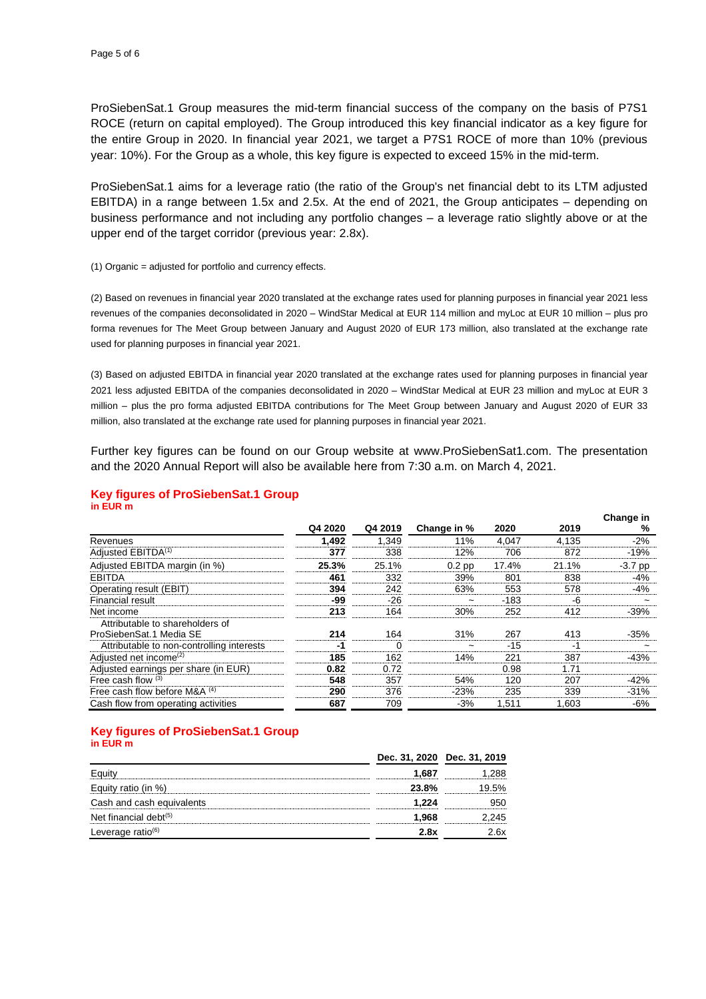ProSiebenSat.1 Group measures the mid-term financial success of the company on the basis of P7S1 ROCE (return on capital employed). The Group introduced this key financial indicator as a key figure for the entire Group in 2020. In financial year 2021, we target a P7S1 ROCE of more than 10% (previous year: 10%). For the Group as a whole, this key figure is expected to exceed 15% in the mid-term.

ProSiebenSat.1 aims for a leverage ratio (the ratio of the Group's net financial debt to its LTM adjusted EBITDA) in a range between 1.5x and 2.5x. At the end of 2021, the Group anticipates – depending on business performance and not including any portfolio changes – a leverage ratio slightly above or at the upper end of the target corridor (previous year: 2.8x).

(1) Organic = adjusted for portfolio and currency effects.

(2) Based on revenues in financial year 2020 translated at the exchange rates used for planning purposes in financial year 2021 less revenues of the companies deconsolidated in 2020 – WindStar Medical at EUR 114 million and myLoc at EUR 10 million – plus pro forma revenues for The Meet Group between January and August 2020 of EUR 173 million, also translated at the exchange rate used for planning purposes in financial year 2021.

(3) Based on adjusted EBITDA in financial year 2020 translated at the exchange rates used for planning purposes in financial year 2021 less adjusted EBITDA of the companies deconsolidated in 2020 – WindStar Medical at EUR 23 million and myLoc at EUR 3 million – plus the pro forma adjusted EBITDA contributions for The Meet Group between January and August 2020 of EUR 33 million, also translated at the exchange rate used for planning purposes in financial year 2021.

Further key figures can be found on our Group website at www.ProSiebenSat1.com. The presentation and the 2020 Annual Report will also be available here from 7:30 a.m. on March 4, 2021.

#### **Key figures of ProSiebenSat.1 Group in EUR m**

|                                           |         |          |                       |        |       | Change in             |
|-------------------------------------------|---------|----------|-----------------------|--------|-------|-----------------------|
|                                           | Q4 2020 | Q4 2019  | Change in %           | 2020   | 2019  | %                     |
| Revenues                                  | 1,492   | 1,349    | 11%                   | 4,047  | 4,135 | $-2%$                 |
| Adjusted EBITDA <sup>(1)</sup>            | 377     | 338      | 12%                   | 706    | 872   | $-19%$                |
| Adjusted EBITDA margin (in %)             | 25.3%   | 25.1%    | $0.2$ pp              | 17.4%  | 21.1% | $-3.7$ pp             |
| <b>EBITDA</b>                             | 461     | 332      | 39%                   | 801    | 838   | -4%                   |
| Operating result (EBIT)                   | 394     | 242      | 63%                   | 553    | 578   | -4%                   |
| Financial result                          | -99     | -26      | $\tilde{}$            | $-183$ | -6    |                       |
| Net income                                | 213     | 164      | 30%                   | 252    | 412   | $-39%$                |
| Attributable to shareholders of           |         |          |                       |        |       |                       |
| ProSiebenSat.1 Media SE                   | 214     | 164      | 31%                   | 267    | 413   | $-35%$                |
| Attributable to non-controlling interests | -1      | $\Omega$ | $\tilde{\phantom{a}}$ | $-15$  | -1    | $\tilde{\phantom{a}}$ |
| Adjusted net income <sup>(2)</sup>        | 185     | 162      | 14%                   | 221    | 387   | $-43%$                |
| Adjusted earnings per share (in EUR)      | 0.82    | 0.72     |                       | 0.98   | 1.71  |                       |
| Free cash flow $(3)$                      | 548     | 357      | 54%                   | 120    | 207   | $-42%$                |
| Free cash flow before M&A $(4)$           | 290     | 376      | $-23%$                | 235    | 339   | $-31%$                |
| Cash flow from operating activities       | 687     | 709      | $-3%$                 | 1.511  | 1.603 | -6%                   |

#### **Key figures of ProSiebenSat.1 Group in EUR m**

|                               | Dec. 31, 2020 Dec. 31, 2019 |     |
|-------------------------------|-----------------------------|-----|
|                               | 1.687                       |     |
| uity ratio (in %)             | 23.8%                       |     |
| Cash and cash equivalents     | 1.224                       |     |
| Net financial debt $(5)$      | 968                         | 245 |
| Leverage ratio <sup>(6)</sup> | 2 RY                        | 6x  |